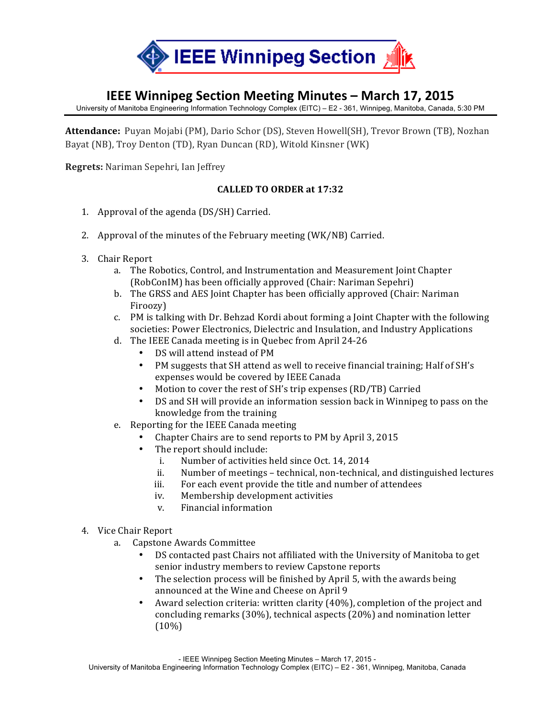

## **IEEE Winnipeg Section Meeting Minutes – March 17, 2015**

University of Manitoba Engineering Information Technology Complex (EITC) – E2 - 361, Winnipeg, Manitoba, Canada, 5:30 PM

**Attendance:** Puyan Mojabi (PM), Dario Schor (DS), Steven Howell(SH), Trevor Brown (TB), Nozhan Bayat (NB), Troy Denton (TD), Ryan Duncan (RD), Witold Kinsner (WK)

**Regrets:** Nariman Sepehri, Ian Jeffrey

## **CALLED TO ORDER at 17:32**

- 1. Approval of the agenda  $(DS/SH)$  Carried.
- 2. Approval of the minutes of the February meeting (WK/NB) Carried.
- 3. Chair Report
	- a. The Robotics, Control, and Instrumentation and Measurement Joint Chapter (RobConIM) has been officially approved (Chair: Nariman Sepehri)
	- b. The GRSS and AES Joint Chapter has been officially approved (Chair: Nariman Firoozy)
	- c. PM is talking with Dr. Behzad Kordi about forming a Joint Chapter with the following societies: Power Electronics, Dielectric and Insulation, and Industry Applications
	- d. The IEEE Canada meeting is in Quebec from April 24-26
		- DS will attend instead of PM
		- PM suggests that SH attend as well to receive financial training; Half of SH's expenses would be covered by IEEE Canada
		- Motion to cover the rest of SH's trip expenses (RD/TB) Carried
		- DS and SH will provide an information session back in Winnipeg to pass on the knowledge from the training
	- e. Reporting for the IEEE Canada meeting
		- Chapter Chairs are to send reports to PM by April 3, 2015
		- The report should include:
			- i. Number of activities held since Oct. 14, 2014
			- ii. Number of meetings technical, non-technical, and distinguished lectures
			- iii. For each event provide the title and number of attendees
			- iv. Membership development activities
			- v. Financial information
- 4. Vice Chair Report
	- a. Capstone Awards Committee
		- DS contacted past Chairs not affiliated with the University of Manitoba to get senior industry members to review Capstone reports
		- The selection process will be finished by April 5, with the awards being announced at the Wine and Cheese on April 9
		- Award selection criteria: written clarity (40%), completion of the project and concluding remarks  $(30%)$ , technical aspects  $(20%)$  and nomination letter (10%)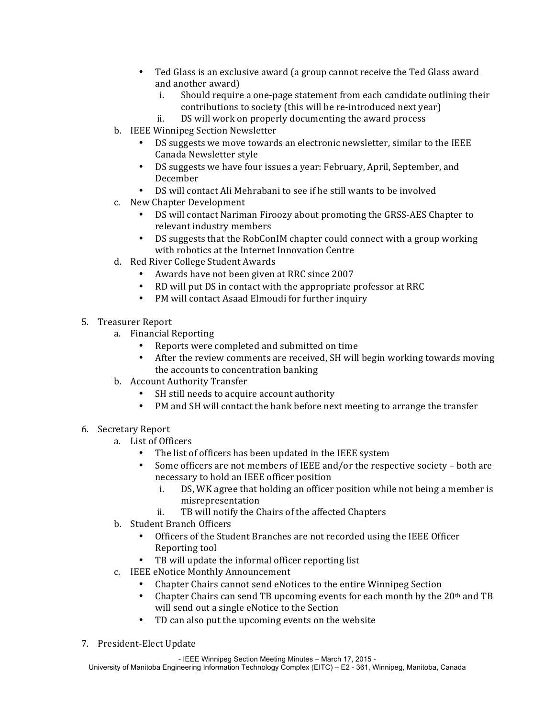- Ted Glass is an exclusive award (a group cannot receive the Ted Glass award and another award)
	- i. Should require a one-page statement from each candidate outlining their contributions to society (this will be re-introduced next year)
- ii. DS will work on properly documenting the award process
- b. IEEE Winnipeg Section Newsletter
	- DS suggests we move towards an electronic newsletter, similar to the IEEE Canada Newsletter style
	- DS suggests we have four issues a year: February, April, September, and December
	- DS will contact Ali Mehrabani to see if he still wants to be involved
- c. New Chapter Development
	- DS will contact Nariman Firoozy about promoting the GRSS-AES Chapter to relevant industry members
	- DS suggests that the RobConIM chapter could connect with a group working with robotics at the Internet Innovation Centre
- d. Red River College Student Awards
	- Awards have not been given at RRC since 2007
	- RD will put DS in contact with the appropriate professor at RRC
	- PM will contact Asaad Elmoudi for further inquiry
- 5. Treasurer Report
	- a. Financial Reporting
		- Reports were completed and submitted on time
		- After the review comments are received, SH will begin working towards moving the accounts to concentration banking
	- b. Account Authority Transfer
		- SH still needs to acquire account authority
		- PM and SH will contact the bank before next meeting to arrange the transfer
- 6. Secretary Report
	- a. List of Officers
		- The list of officers has been updated in the IEEE system
		- Some officers are not members of IEEE and/or the respective society both are necessary to hold an IEEE officer position
			- i. DS, WK agree that holding an officer position while not being a member is misrepresentation
			- ii. TB will notify the Chairs of the affected Chapters
	- b. Student Branch Officers
		- Officers of the Student Branches are not recorded using the IEEE Officer Reporting tool
		- TB will update the informal officer reporting list
	- c. IEEE eNotice Monthly Announcement
		- Chapter Chairs cannot send eNotices to the entire Winnipeg Section
		- Chapter Chairs can send TB upcoming events for each month by the  $20<sup>th</sup>$  and TB will send out a single eNotice to the Section
		- TD can also put the upcoming events on the website
- 7. President-Elect Update

- IEEE Winnipeg Section Meeting Minutes – March 17, 2015 -

University of Manitoba Engineering Information Technology Complex (EITC) – E2 - 361, Winnipeg, Manitoba, Canada